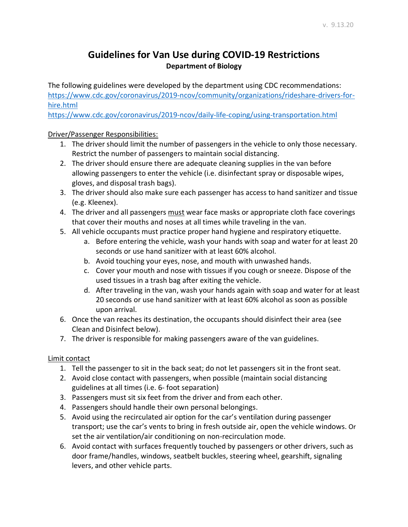## **Guidelines for Van Use during COVID-19 Restrictions Department of Biology**

The following guidelines were developed by the department using CDC recommendations: [https://www.cdc.gov/coronavirus/2019-ncov/community/organizations/rideshare-drivers-for](https://www.cdc.gov/coronavirus/2019-ncov/community/organizations/rideshare-drivers-for-hire.html)[hire.html](https://www.cdc.gov/coronavirus/2019-ncov/community/organizations/rideshare-drivers-for-hire.html)

<https://www.cdc.gov/coronavirus/2019-ncov/daily-life-coping/using-transportation.html>

Driver/Passenger Responsibilities:

- 1. The driver should limit the number of passengers in the vehicle to only those necessary. Restrict the number of passengers to maintain social distancing.
- 2. The driver should ensure there are adequate cleaning supplies in the van before allowing passengers to enter the vehicle (i.e. disinfectant spray or disposable wipes, gloves, and disposal trash bags).
- 3. The driver should also make sure each passenger has access to hand sanitizer and tissue (e.g. Kleenex).
- 4. The driver and all passengers must wear face masks or appropriate cloth face coverings that cover their mouths and noses at all times while traveling in the van.
- 5. All vehicle occupants must practice proper hand hygiene and respiratory etiquette.
	- a. Before entering the vehicle, wash your hands with soap and water for at least 20 seconds or use hand sanitizer with at least 60% alcohol.
	- b. Avoid touching your eyes, nose, and mouth with unwashed hands.
	- c. Cover your mouth and nose with tissues if you cough or sneeze. Dispose of the used tissues in a trash bag after exiting the vehicle.
	- d. After traveling in the van, wash your hands again with soap and water for at least 20 seconds or use hand sanitizer with at least 60% alcohol as soon as possible upon arrival.
- 6. Once the van reaches its destination, the occupants should disinfect their area (see Clean and Disinfect below).
- 7. The driver is responsible for making passengers aware of the van guidelines.

## Limit contact

- 1. Tell the passenger to sit in the back seat; do not let passengers sit in the front seat.
- 2. Avoid close contact with passengers, when possible (maintain social distancing guidelines at all times (i.e. 6- foot separation)
- 3. Passengers must sit six feet from the driver and from each other.
- 4. Passengers should handle their own personal belongings.
- 5. Avoid using the recirculated air option for the car's ventilation during passenger transport; use the car's vents to bring in fresh outside air, open the vehicle windows. Or set the air ventilation/air conditioning on non-recirculation mode.
- 6. Avoid contact with surfaces frequently touched by passengers or other drivers, such as door frame/handles, windows, seatbelt buckles, steering wheel, gearshift, signaling levers, and other vehicle parts.